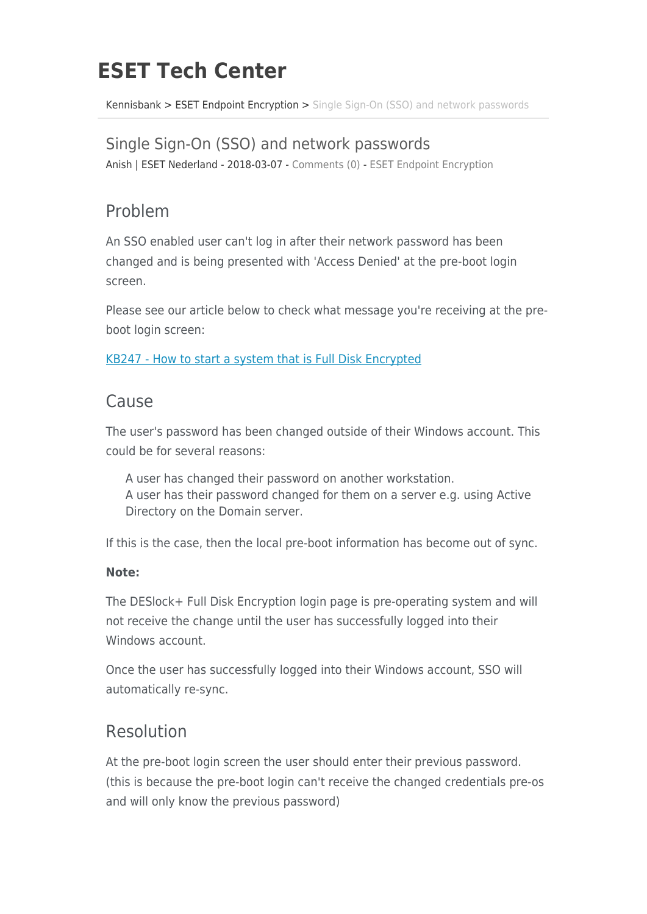# **ESET Tech Center**

[Kennisbank](https://techcenter.eset.nl/nl/kb) > [ESET Endpoint Encryption](https://techcenter.eset.nl/nl/kb/eset-endpoint-encryption) > [Single Sign-On \(SSO\) and network passwords](https://techcenter.eset.nl/nl/kb/articles/single-sign-on-sso-and-network-passwords-4)

#### Single Sign-On (SSO) and network passwords

Anish | ESET Nederland - 2018-03-07 - [Comments \(0\)](#page--1-0) - [ESET Endpoint Encryption](https://techcenter.eset.nl/nl/kb/eset-endpoint-encryption)

## Problem

An SSO enabled user can't log in after their network password has been changed and is being presented with 'Access Denied' at the pre-boot login screen.

Please see our article below to check what message you're receiving at the preboot login screen:

[KB247 - How to start a system that is Full Disk Encrypted](https://support.deslock.com/index.php?/Knowledgebase/Article/View/247/0/how-to-start-a-system-that-is-full-disk-encrypted)

### Cause

The user's password has been changed outside of their Windows account. This could be for several reasons:

A user has changed their password on another workstation. A user has their password changed for them on a server e.g. using Active Directory on the Domain server.

If this is the case, then the local pre-boot information has become out of sync.

#### **Note:**

The DESlock+ Full Disk Encryption login page is pre-operating system and will not receive the change until the user has successfully logged into their Windows account.

Once the user has successfully logged into their Windows account, SSO will automatically re-sync.

## Resolution

At the pre-boot login screen the user should enter their previous password. (this is because the pre-boot login can't receive the changed credentials pre-os and will only know the previous password)